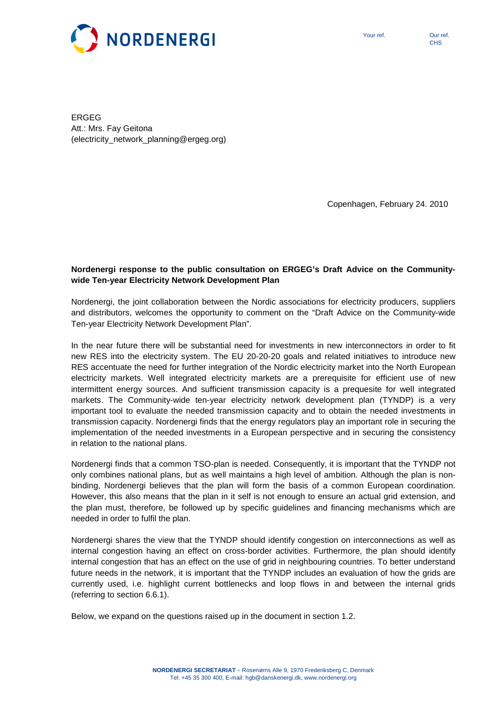

ERGEG Att.: Mrs. Fay Geitona (electricity\_network\_planning@ergeg.org)

Copenhagen, February 24. 2010

# **Nordenergi response to the public consultation on ERGEG's Draft Advice on the Communitywide Ten-year Electricity Network Development Plan**

Nordenergi, the joint collaboration between the Nordic associations for electricity producers, suppliers and distributors, welcomes the opportunity to comment on the "Draft Advice on the Community-wide Ten-year Electricity Network Development Plan".

In the near future there will be substantial need for investments in new interconnectors in order to fit new RES into the electricity system. The EU 20-20-20 goals and related initiatives to introduce new RES accentuate the need for further integration of the Nordic electricity market into the North European electricity markets. Well integrated electricity markets are a prerequisite for efficient use of new intermittent energy sources. And sufficient transmission capacity is a prequesite for well integrated markets. The Community-wide ten-year electricity network development plan (TYNDP) is a very important tool to evaluate the needed transmission capacity and to obtain the needed investments in transmission capacity. Nordenergi finds that the energy regulators play an important role in securing the implementation of the needed investments in a European perspective and in securing the consistency in relation to the national plans.

Nordenergi finds that a common TSO-plan is needed. Consequently, it is important that the TYNDP not only combines national plans, but as well maintains a high level of ambition. Although the plan is nonbinding, Nordenergi believes that the plan will form the basis of a common European coordination. However, this also means that the plan in it self is not enough to ensure an actual grid extension, and the plan must, therefore, be followed up by specific guidelines and financing mechanisms which are needed in order to fulfil the plan.

Nordenergi shares the view that the TYNDP should identify congestion on interconnections as well as internal congestion having an effect on cross-border activities. Furthermore, the plan should identify internal congestion that has an effect on the use of grid in neighbouring countries. To better understand future needs in the network, it is important that the TYNDP includes an evaluation of how the grids are currently used, i.e. highlight current bottlenecks and loop flows in and between the internal grids (referring to section 6.6.1).

Below, we expand on the questions raised up in the document in section 1.2.

**CHS**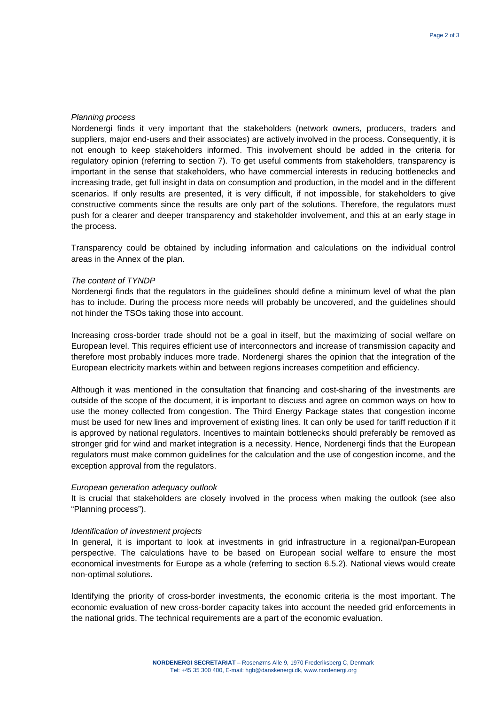# Planning process

Nordenergi finds it very important that the stakeholders (network owners, producers, traders and suppliers, major end-users and their associates) are actively involved in the process. Consequently, it is not enough to keep stakeholders informed. This involvement should be added in the criteria for regulatory opinion (referring to section 7). To get useful comments from stakeholders, transparency is important in the sense that stakeholders, who have commercial interests in reducing bottlenecks and increasing trade, get full insight in data on consumption and production, in the model and in the different scenarios. If only results are presented, it is very difficult, if not impossible, for stakeholders to give constructive comments since the results are only part of the solutions. Therefore, the regulators must push for a clearer and deeper transparency and stakeholder involvement, and this at an early stage in the process.

Transparency could be obtained by including information and calculations on the individual control areas in the Annex of the plan.

# The content of TYNDP

Nordenergi finds that the regulators in the guidelines should define a minimum level of what the plan has to include. During the process more needs will probably be uncovered, and the guidelines should not hinder the TSOs taking those into account.

Increasing cross-border trade should not be a goal in itself, but the maximizing of social welfare on European level. This requires efficient use of interconnectors and increase of transmission capacity and therefore most probably induces more trade. Nordenergi shares the opinion that the integration of the European electricity markets within and between regions increases competition and efficiency.

Although it was mentioned in the consultation that financing and cost-sharing of the investments are outside of the scope of the document, it is important to discuss and agree on common ways on how to use the money collected from congestion. The Third Energy Package states that congestion income must be used for new lines and improvement of existing lines. It can only be used for tariff reduction if it is approved by national regulators. Incentives to maintain bottlenecks should preferably be removed as stronger grid for wind and market integration is a necessity. Hence, Nordenergi finds that the European regulators must make common guidelines for the calculation and the use of congestion income, and the exception approval from the regulators.

#### European generation adequacy outlook

It is crucial that stakeholders are closely involved in the process when making the outlook (see also "Planning process").

## Identification of investment projects

In general, it is important to look at investments in grid infrastructure in a regional/pan-European perspective. The calculations have to be based on European social welfare to ensure the most economical investments for Europe as a whole (referring to section 6.5.2). National views would create non-optimal solutions.

Identifying the priority of cross-border investments, the economic criteria is the most important. The economic evaluation of new cross-border capacity takes into account the needed grid enforcements in the national grids. The technical requirements are a part of the economic evaluation.